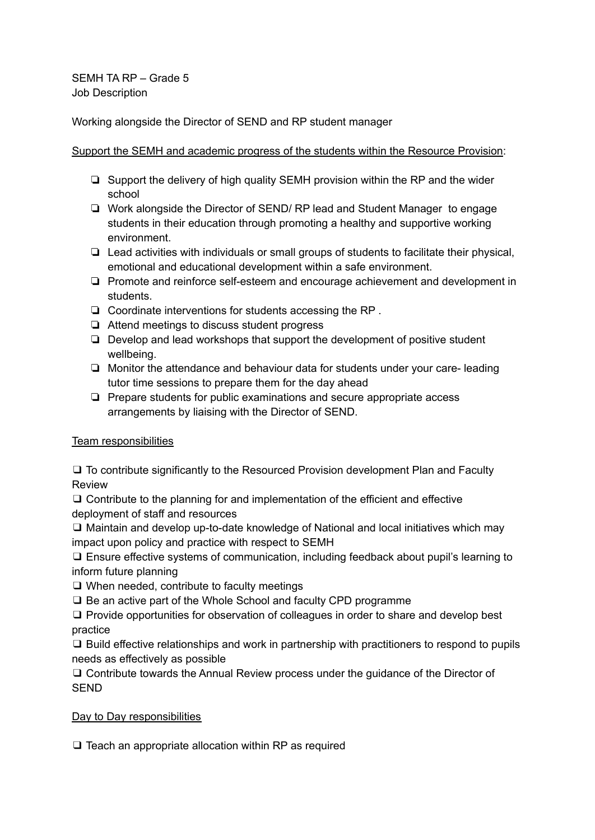Working alongside the Director of SEND and RP student manager

### Support the SEMH and academic progress of the students within the Resource Provision:

- ❏ Support the delivery of high quality SEMH provision within the RP and the wider school
- ❏ Work alongside the Director of SEND/ RP lead and Student Manager to engage students in their education through promoting a healthy and supportive working environment.
- ❏ Lead activities with individuals or small groups of students to facilitate their physical, emotional and educational development within a safe environment.
- ❏ Promote and reinforce self-esteem and encourage achievement and development in students.
- ❏ Coordinate interventions for students accessing the RP .
- ❏ Attend meetings to discuss student progress
- ❏ Develop and lead workshops that support the development of positive student wellbeing.
- ❏ Monitor the attendance and behaviour data for students under your care- leading tutor time sessions to prepare them for the day ahead
- ❏ Prepare students for public examinations and secure appropriate access arrangements by liaising with the Director of SEND.

# Team responsibilities

❑ To contribute significantly to the Resourced Provision development Plan and Faculty Review

❑ Contribute to the planning for and implementation of the efficient and effective deployment of staff and resources

❑ Maintain and develop up-to-date knowledge of National and local initiatives which may impact upon policy and practice with respect to SEMH

❑ Ensure effective systems of communication, including feedback about pupil's learning to inform future planning

❑ When needed, contribute to faculty meetings

❑ Be an active part of the Whole School and faculty CPD programme

❑ Provide opportunities for observation of colleagues in order to share and develop best practice

❑ Build effective relationships and work in partnership with practitioners to respond to pupils needs as effectively as possible

❑ Contribute towards the Annual Review process under the guidance of the Director of SEND

# Day to Day responsibilities

❑ Teach an appropriate allocation within RP as required